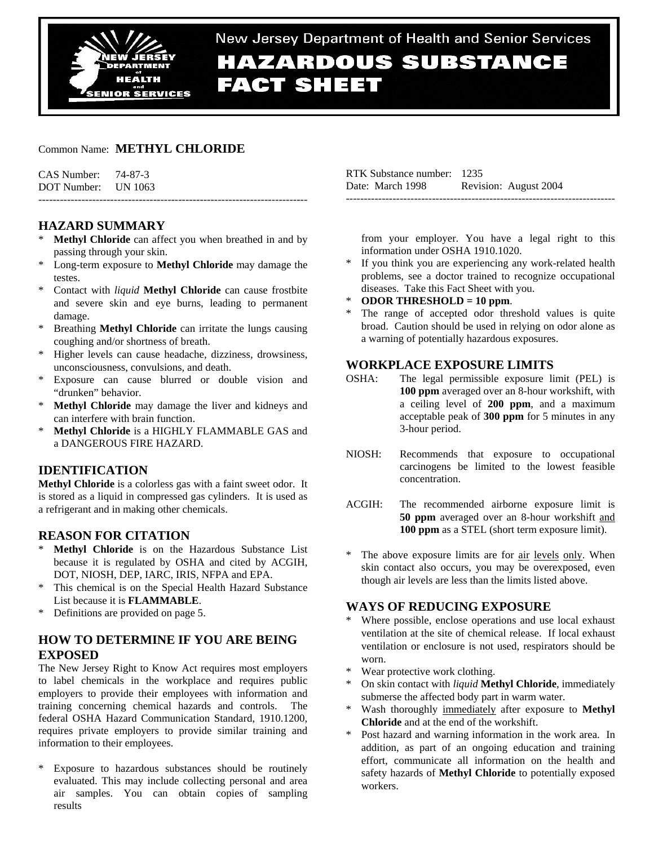

# New Jersey Department of Health and Senior Services **HAZARDOUS SUBSTANCE FACT SHEET**

Common Name: **METHYL CHLORIDE**

CAS Number: 74-87-3 DOT Number: UN 1063 ---------------------------------------------------------------------------

# **HAZARD SUMMARY**

- \* **Methyl Chloride** can affect you when breathed in and by passing through your skin.
- Long-term exposure to **Methyl Chloride** may damage the testes.
- \* Contact with *liquid* **Methyl Chloride** can cause frostbite and severe skin and eye burns, leading to permanent damage.
- \* Breathing **Methyl Chloride** can irritate the lungs causing coughing and/or shortness of breath.
- \* Higher levels can cause headache, dizziness, drowsiness, unconsciousness, convulsions, and death.
- Exposure can cause blurred or double vision and "drunken" behavior.
- \* **Methyl Chloride** may damage the liver and kidneys and can interfere with brain function.
- \* **Methyl Chloride** is a HIGHLY FLAMMABLE GAS and a DANGEROUS FIRE HAZARD.

# **IDENTIFICATION**

**Methyl Chloride** is a colorless gas with a faint sweet odor. It is stored as a liquid in compressed gas cylinders. It is used as a refrigerant and in making other chemicals.

# **REASON FOR CITATION**

- \* **Methyl Chloride** is on the Hazardous Substance List because it is regulated by OSHA and cited by ACGIH, DOT, NIOSH, DEP, IARC, IRIS, NFPA and EPA.
- \* This chemical is on the Special Health Hazard Substance List because it is **FLAMMABLE**.
- \* Definitions are provided on page 5.

# **HOW TO DETERMINE IF YOU ARE BEING EXPOSED**

The New Jersey Right to Know Act requires most employers to label chemicals in the workplace and requires public employers to provide their employees with information and training concerning chemical hazards and controls. The federal OSHA Hazard Communication Standard, 1910.1200, requires private employers to provide similar training and information to their employees.

\* Exposure to hazardous substances should be routinely evaluated. This may include collecting personal and area air samples. You can obtain copies of sampling results

RTK Substance number: 1235 Date: March 1998 Revision: August 2004 ---------------------------------------------------------------------------

 from your employer. You have a legal right to this information under OSHA 1910.1020.

- \* If you think you are experiencing any work-related health problems, see a doctor trained to recognize occupational diseases. Take this Fact Sheet with you.
- \* **ODOR THRESHOLD = 10 ppm**.
- The range of accepted odor threshold values is quite broad. Caution should be used in relying on odor alone as a warning of potentially hazardous exposures.

# **WORKPLACE EXPOSURE LIMITS**

- OSHA: The legal permissible exposure limit (PEL) is **100 ppm** averaged over an 8-hour workshift, with a ceiling level of **200 ppm**, and a maximum acceptable peak of **300 ppm** for 5 minutes in any 3-hour period.
- NIOSH: Recommends that exposure to occupational carcinogens be limited to the lowest feasible concentration.
- ACGIH: The recommended airborne exposure limit is **50 ppm** averaged over an 8-hour workshift and **100 ppm** as a STEL (short term exposure limit).
- The above exposure limits are for air levels only. When skin contact also occurs, you may be overexposed, even though air levels are less than the limits listed above.

# **WAYS OF REDUCING EXPOSURE**

- Where possible, enclose operations and use local exhaust ventilation at the site of chemical release. If local exhaust ventilation or enclosure is not used, respirators should be worn.
- \* Wear protective work clothing.
- \* On skin contact with *liquid* **Methyl Chloride**, immediately submerse the affected body part in warm water.
- Wash thoroughly immediately after exposure to **Methyl Chloride** and at the end of the workshift.
- \* Post hazard and warning information in the work area. In addition, as part of an ongoing education and training effort, communicate all information on the health and safety hazards of **Methyl Chloride** to potentially exposed workers.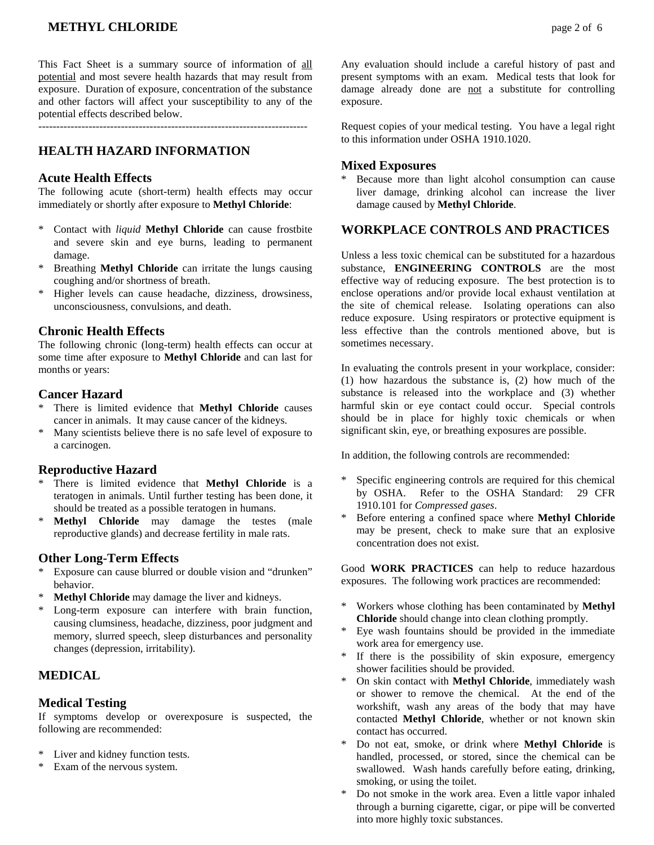# **METHYL CHLORIDE** page 2 of 6

This Fact Sheet is a summary source of information of all potential and most severe health hazards that may result from exposure. Duration of exposure, concentration of the substance and other factors will affect your susceptibility to any of the potential effects described below.

### **HEALTH HAZARD INFORMATION**

### **Acute Health Effects**

The following acute (short-term) health effects may occur immediately or shortly after exposure to **Methyl Chloride**:

- \* Contact with *liquid* **Methyl Chloride** can cause frostbite and severe skin and eye burns, leading to permanent damage.
- Breathing **Methyl Chloride** can irritate the lungs causing coughing and/or shortness of breath.
- \* Higher levels can cause headache, dizziness, drowsiness, unconsciousness, convulsions, and death.

#### **Chronic Health Effects**

The following chronic (long-term) health effects can occur at some time after exposure to **Methyl Chloride** and can last for months or years:

### **Cancer Hazard**

- There is limited evidence that **Methyl Chloride** causes cancer in animals. It may cause cancer of the kidneys.
- \* Many scientists believe there is no safe level of exposure to a carcinogen.

#### **Reproductive Hazard**

- There is limited evidence that **Methyl Chloride** is a teratogen in animals. Until further testing has been done, it should be treated as a possible teratogen in humans.
- \* **Methyl Chloride** may damage the testes (male reproductive glands) and decrease fertility in male rats.

### **Other Long-Term Effects**

- Exposure can cause blurred or double vision and "drunken" behavior.
- **Methyl Chloride** may damage the liver and kidneys.
- \* Long-term exposure can interfere with brain function, causing clumsiness, headache, dizziness, poor judgment and memory, slurred speech, sleep disturbances and personality changes (depression, irritability).

### **MEDICAL**

#### **Medical Testing**

If symptoms develop or overexposure is suspected, the following are recommended:

- \* Liver and kidney function tests.
- \* Exam of the nervous system.

Any evaluation should include a careful history of past and present symptoms with an exam. Medical tests that look for damage already done are not a substitute for controlling exposure.

Request copies of your medical testing. You have a legal right to this information under OSHA 1910.1020.

#### **Mixed Exposures**

Because more than light alcohol consumption can cause liver damage, drinking alcohol can increase the liver damage caused by **Methyl Chloride**.

### **WORKPLACE CONTROLS AND PRACTICES**

Unless a less toxic chemical can be substituted for a hazardous substance, **ENGINEERING CONTROLS** are the most effective way of reducing exposure. The best protection is to enclose operations and/or provide local exhaust ventilation at the site of chemical release. Isolating operations can also reduce exposure. Using respirators or protective equipment is less effective than the controls mentioned above, but is sometimes necessary.

In evaluating the controls present in your workplace, consider: (1) how hazardous the substance is, (2) how much of the substance is released into the workplace and (3) whether harmful skin or eye contact could occur. Special controls should be in place for highly toxic chemicals or when significant skin, eye, or breathing exposures are possible.

In addition, the following controls are recommended:

- Specific engineering controls are required for this chemical by OSHA. Refer to the OSHA Standard: 29 CFR 1910.101 for *Compressed gases*.
- \* Before entering a confined space where **Methyl Chloride** may be present, check to make sure that an explosive concentration does not exist.

Good **WORK PRACTICES** can help to reduce hazardous exposures. The following work practices are recommended:

- \* Workers whose clothing has been contaminated by **Methyl Chloride** should change into clean clothing promptly.
- Eye wash fountains should be provided in the immediate work area for emergency use.
- \* If there is the possibility of skin exposure, emergency shower facilities should be provided.
- \* On skin contact with **Methyl Chloride**, immediately wash or shower to remove the chemical. At the end of the workshift, wash any areas of the body that may have contacted **Methyl Chloride**, whether or not known skin contact has occurred.
- Do not eat, smoke, or drink where **Methyl Chloride** is handled, processed, or stored, since the chemical can be swallowed. Wash hands carefully before eating, drinking, smoking, or using the toilet.
- Do not smoke in the work area. Even a little vapor inhaled through a burning cigarette, cigar, or pipe will be converted into more highly toxic substances.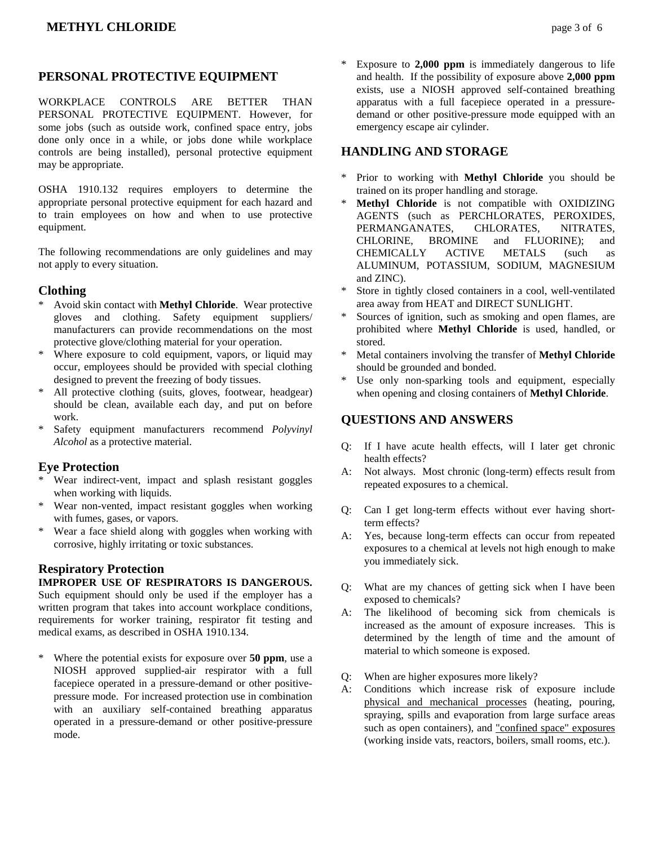# **PERSONAL PROTECTIVE EQUIPMENT**

WORKPLACE CONTROLS ARE BETTER THAN PERSONAL PROTECTIVE EQUIPMENT. However, for some jobs (such as outside work, confined space entry, jobs done only once in a while, or jobs done while workplace controls are being installed), personal protective equipment may be appropriate.

OSHA 1910.132 requires employers to determine the appropriate personal protective equipment for each hazard and to train employees on how and when to use protective equipment.

The following recommendations are only guidelines and may not apply to every situation.

## **Clothing**

- \* Avoid skin contact with **Methyl Chloride**. Wear protective gloves and clothing. Safety equipment suppliers/ manufacturers can provide recommendations on the most protective glove/clothing material for your operation.
- \* Where exposure to cold equipment, vapors, or liquid may occur, employees should be provided with special clothing designed to prevent the freezing of body tissues.
- All protective clothing (suits, gloves, footwear, headgear) should be clean, available each day, and put on before work.
- \* Safety equipment manufacturers recommend *Polyvinyl Alcohol* as a protective material.

## **Eye Protection**

- \* Wear indirect-vent, impact and splash resistant goggles when working with liquids.
- Wear non-vented, impact resistant goggles when working with fumes, gases, or vapors.
- \* Wear a face shield along with goggles when working with corrosive, highly irritating or toxic substances.

## **Respiratory Protection**

**IMPROPER USE OF RESPIRATORS IS DANGEROUS.** Such equipment should only be used if the employer has a written program that takes into account workplace conditions, requirements for worker training, respirator fit testing and medical exams, as described in OSHA 1910.134.

\* Where the potential exists for exposure over **50 ppm**, use a NIOSH approved supplied-air respirator with a full facepiece operated in a pressure-demand or other positivepressure mode. For increased protection use in combination with an auxiliary self-contained breathing apparatus operated in a pressure-demand or other positive-pressure mode.

\* Exposure to **2,000 ppm** is immediately dangerous to life and health. If the possibility of exposure above **2,000 ppm** exists, use a NIOSH approved self-contained breathing apparatus with a full facepiece operated in a pressuredemand or other positive-pressure mode equipped with an emergency escape air cylinder.

# **HANDLING AND STORAGE**

- \* Prior to working with **Methyl Chloride** you should be trained on its proper handling and storage.
- \* **Methyl Chloride** is not compatible with OXIDIZING AGENTS (such as PERCHLORATES, PEROXIDES, PERMANGANATES, CHLORATES, NITRATES, CHLORINE, BROMINE and FLUORINE); and CHEMICALLY ACTIVE METALS (such as ALUMINUM, POTASSIUM, SODIUM, MAGNESIUM and ZINC).
- Store in tightly closed containers in a cool, well-ventilated area away from HEAT and DIRECT SUNLIGHT.
- Sources of ignition, such as smoking and open flames, are prohibited where **Methyl Chloride** is used, handled, or stored.
- Metal containers involving the transfer of **Methyl Chloride** should be grounded and bonded.
- Use only non-sparking tools and equipment, especially when opening and closing containers of **Methyl Chloride**.

# **QUESTIONS AND ANSWERS**

- Q: If I have acute health effects, will I later get chronic health effects?
- A: Not always. Most chronic (long-term) effects result from repeated exposures to a chemical.
- Q: Can I get long-term effects without ever having shortterm effects?
- A: Yes, because long-term effects can occur from repeated exposures to a chemical at levels not high enough to make you immediately sick.
- Q: What are my chances of getting sick when I have been exposed to chemicals?
- A: The likelihood of becoming sick from chemicals is increased as the amount of exposure increases. This is determined by the length of time and the amount of material to which someone is exposed.
- Q: When are higher exposures more likely?
- A: Conditions which increase risk of exposure include physical and mechanical processes (heating, pouring, spraying, spills and evaporation from large surface areas such as open containers), and "confined space" exposures (working inside vats, reactors, boilers, small rooms, etc.).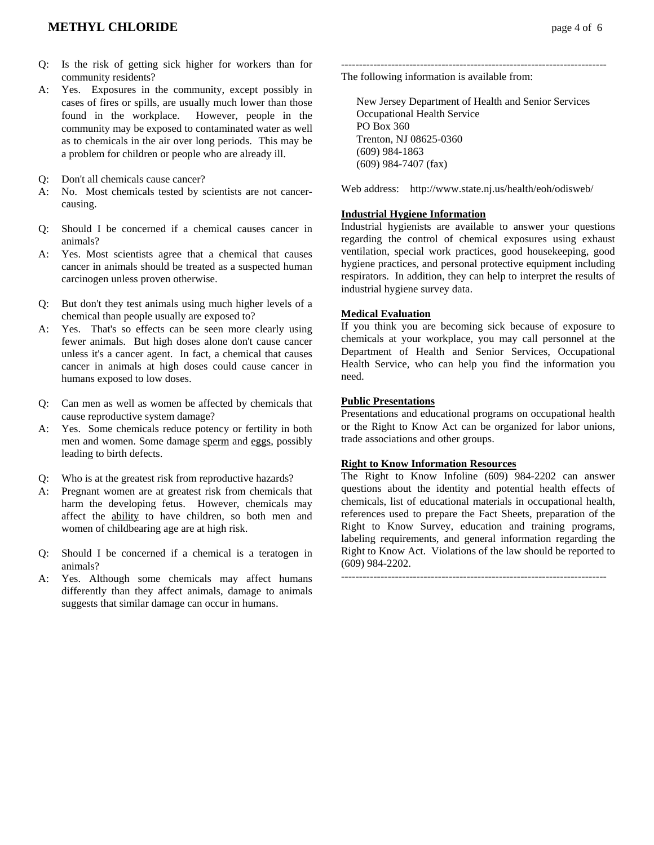- Q: Is the risk of getting sick higher for workers than for community residents?
- A: Yes. Exposures in the community, except possibly in cases of fires or spills, are usually much lower than those found in the workplace. However, people in the community may be exposed to contaminated water as well as to chemicals in the air over long periods. This may be a problem for children or people who are already ill.
- Q: Don't all chemicals cause cancer?
- A: No. Most chemicals tested by scientists are not cancercausing.
- Q: Should I be concerned if a chemical causes cancer in animals?
- A: Yes. Most scientists agree that a chemical that causes cancer in animals should be treated as a suspected human carcinogen unless proven otherwise.
- Q: But don't they test animals using much higher levels of a chemical than people usually are exposed to?
- A: Yes. That's so effects can be seen more clearly using fewer animals. But high doses alone don't cause cancer unless it's a cancer agent. In fact, a chemical that causes cancer in animals at high doses could cause cancer in humans exposed to low doses.
- Q: Can men as well as women be affected by chemicals that cause reproductive system damage?
- A: Yes. Some chemicals reduce potency or fertility in both men and women. Some damage sperm and eggs, possibly leading to birth defects.
- Q: Who is at the greatest risk from reproductive hazards?
- A: Pregnant women are at greatest risk from chemicals that harm the developing fetus. However, chemicals may affect the ability to have children, so both men and women of childbearing age are at high risk.
- Q: Should I be concerned if a chemical is a teratogen in animals?
- A: Yes. Although some chemicals may affect humans differently than they affect animals, damage to animals suggests that similar damage can occur in humans.

The following information is available from:

 New Jersey Department of Health and Senior Services Occupational Health Service PO Box 360 Trenton, NJ 08625-0360 (609) 984-1863 (609) 984-7407 (fax)

--------------------------------------------------------------------------

Web address: http://www.state.nj.us/health/eoh/odisweb/

#### **Industrial Hygiene Information**

Industrial hygienists are available to answer your questions regarding the control of chemical exposures using exhaust ventilation, special work practices, good housekeeping, good hygiene practices, and personal protective equipment including respirators. In addition, they can help to interpret the results of industrial hygiene survey data.

#### **Medical Evaluation**

If you think you are becoming sick because of exposure to chemicals at your workplace, you may call personnel at the Department of Health and Senior Services, Occupational Health Service, who can help you find the information you need.

#### **Public Presentations**

Presentations and educational programs on occupational health or the Right to Know Act can be organized for labor unions, trade associations and other groups.

#### **Right to Know Information Resources**

The Right to Know Infoline (609) 984-2202 can answer questions about the identity and potential health effects of chemicals, list of educational materials in occupational health, references used to prepare the Fact Sheets, preparation of the Right to Know Survey, education and training programs, labeling requirements, and general information regarding the Right to Know Act. Violations of the law should be reported to (609) 984-2202.

--------------------------------------------------------------------------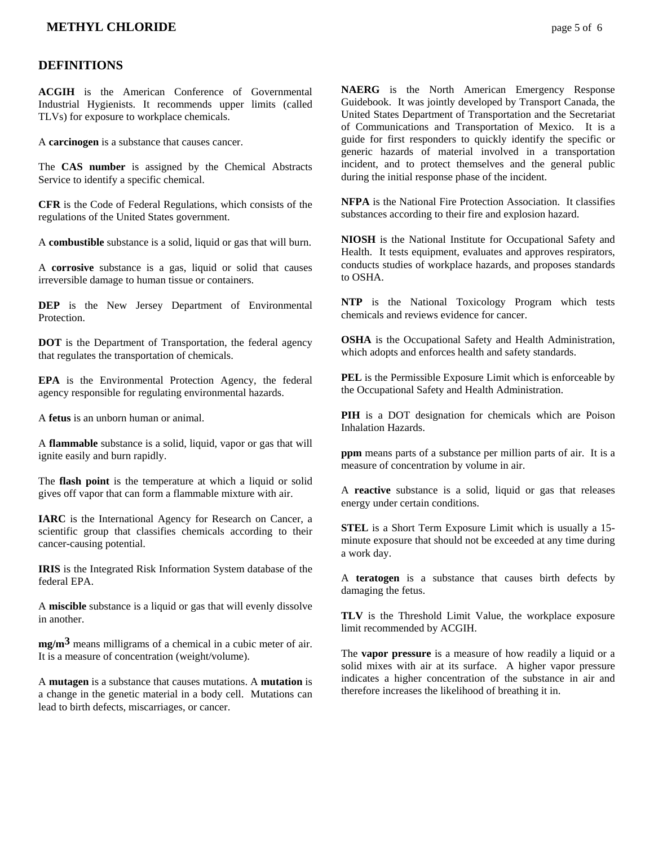### **METHYL CHLORIDE** page 5 of 6

#### **DEFINITIONS**

**ACGIH** is the American Conference of Governmental Industrial Hygienists. It recommends upper limits (called TLVs) for exposure to workplace chemicals.

A **carcinogen** is a substance that causes cancer.

The **CAS number** is assigned by the Chemical Abstracts Service to identify a specific chemical.

**CFR** is the Code of Federal Regulations, which consists of the regulations of the United States government.

A **combustible** substance is a solid, liquid or gas that will burn.

A **corrosive** substance is a gas, liquid or solid that causes irreversible damage to human tissue or containers.

**DEP** is the New Jersey Department of Environmental **Protection** 

**DOT** is the Department of Transportation, the federal agency that regulates the transportation of chemicals.

**EPA** is the Environmental Protection Agency, the federal agency responsible for regulating environmental hazards.

A **fetus** is an unborn human or animal.

A **flammable** substance is a solid, liquid, vapor or gas that will ignite easily and burn rapidly.

The **flash point** is the temperature at which a liquid or solid gives off vapor that can form a flammable mixture with air.

**IARC** is the International Agency for Research on Cancer, a scientific group that classifies chemicals according to their cancer-causing potential.

**IRIS** is the Integrated Risk Information System database of the federal EPA.

A **miscible** substance is a liquid or gas that will evenly dissolve in another.

**mg/m3** means milligrams of a chemical in a cubic meter of air. It is a measure of concentration (weight/volume).

A **mutagen** is a substance that causes mutations. A **mutation** is a change in the genetic material in a body cell. Mutations can lead to birth defects, miscarriages, or cancer.

**NAERG** is the North American Emergency Response Guidebook. It was jointly developed by Transport Canada, the United States Department of Transportation and the Secretariat of Communications and Transportation of Mexico. It is a guide for first responders to quickly identify the specific or generic hazards of material involved in a transportation incident, and to protect themselves and the general public during the initial response phase of the incident.

**NFPA** is the National Fire Protection Association. It classifies substances according to their fire and explosion hazard.

**NIOSH** is the National Institute for Occupational Safety and Health. It tests equipment, evaluates and approves respirators, conducts studies of workplace hazards, and proposes standards to OSHA.

**NTP** is the National Toxicology Program which tests chemicals and reviews evidence for cancer.

**OSHA** is the Occupational Safety and Health Administration, which adopts and enforces health and safety standards.

**PEL** is the Permissible Exposure Limit which is enforceable by the Occupational Safety and Health Administration.

**PIH** is a DOT designation for chemicals which are Poison Inhalation Hazards.

**ppm** means parts of a substance per million parts of air. It is a measure of concentration by volume in air.

A **reactive** substance is a solid, liquid or gas that releases energy under certain conditions.

**STEL** is a Short Term Exposure Limit which is usually a 15 minute exposure that should not be exceeded at any time during a work day.

A **teratogen** is a substance that causes birth defects by damaging the fetus.

**TLV** is the Threshold Limit Value, the workplace exposure limit recommended by ACGIH.

The **vapor pressure** is a measure of how readily a liquid or a solid mixes with air at its surface. A higher vapor pressure indicates a higher concentration of the substance in air and therefore increases the likelihood of breathing it in.